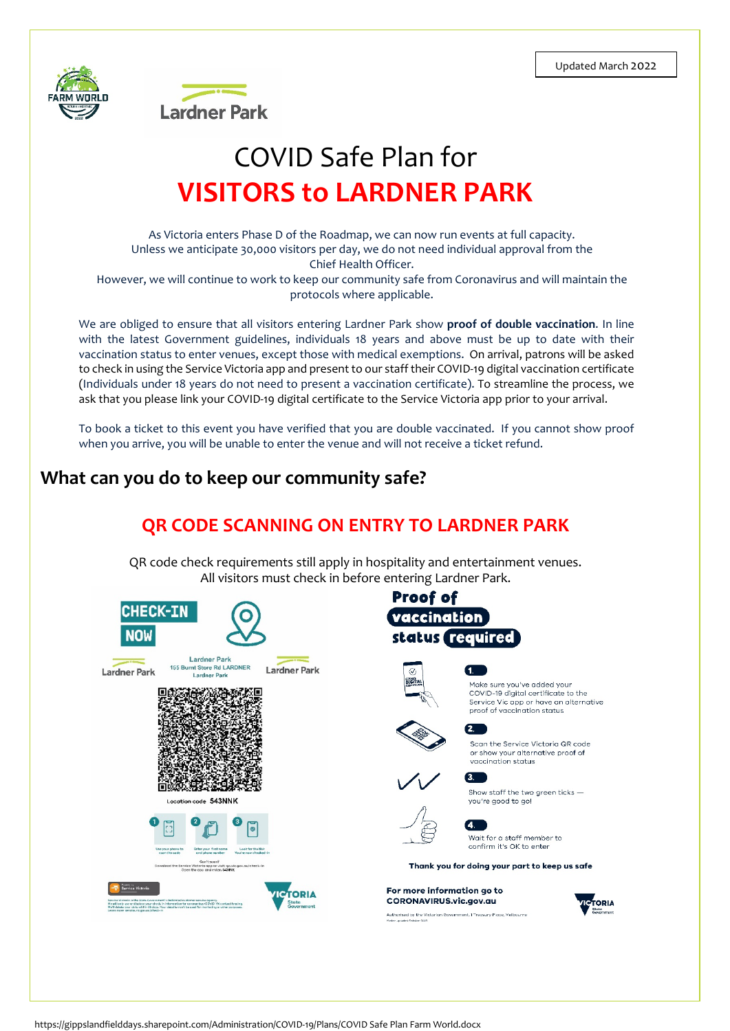



# COVID Safe Plan for **VISITORS to LARDNER PARK**

As Victoria enters Phase D of the Roadmap, we can now run events at full capacity. Unless we anticipate 30,000 visitors per day, we do not need individual approval from the Chief Health Officer. However, we will continue to work to keep our community safe from Coronavirus and will maintain the

protocols where applicable.

We are obliged to ensure that all visitors entering Lardner Park show **proof of double vaccination**. In line with the latest Government guidelines, individuals 18 years and above must be up to date with their vaccination status to enter venues, except those with medical exemptions. On arrival, patrons will be asked to check in using the Service Victoria app and present to our staff their COVID-19 digital vaccination certificate (Individuals under 18 years do not need to present a vaccination certificate). To streamline the process, we ask that you please link your COVID-19 digital certificate to the Service Victoria app prior to your arrival.

To book a ticket to this event you have verified that you are double vaccinated. If you cannot show proof when you arrive, you will be unable to enter the venue and will not receive a ticket refund.

# **What can you do to keep our community safe?**

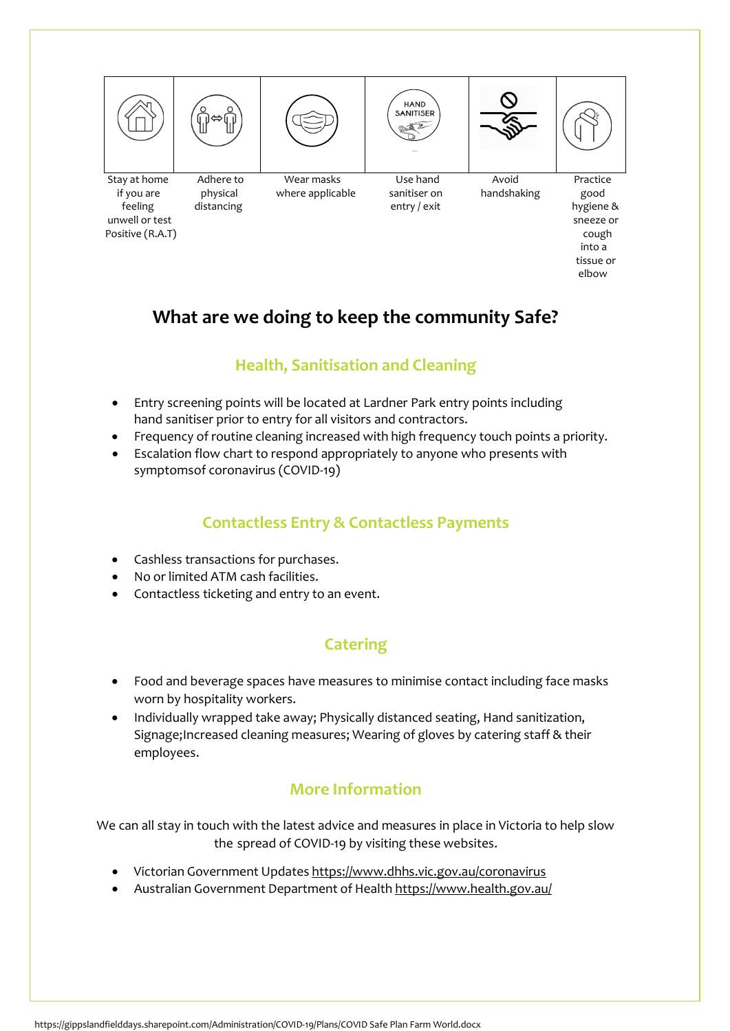

 into a tissue or elbow

# **What are we doing to keep the community Safe?**

## **Health, Sanitisation and Cleaning**

- Entry screening points will be located at Lardner Park entry points including hand sanitiser prior to entry for all visitors and contractors.
- Frequency of routine cleaning increased with high frequency touch points a priority.
- Escalation flow chart to respond appropriately to anyone who presents with symptomsof coronavirus (COVID-19)

## **Contactless Entry & Contactless Payments**

- Cashless transactions for purchases.
- No or limited ATM cash facilities.
- Contactless ticketing and entry to an event.

## **Catering**

- Food and beverage spaces have measures to minimise contact including face masks worn by hospitality workers.
- Individually wrapped take away; Physically distanced seating, Hand sanitization, Signage;Increased cleaning measures; Wearing of gloves by catering staff & their employees.

## **More Information**

We can all stay in touch with the latest advice and measures in place in Victoria to help slow the spread of COVID-19 by visiting these websites.

- Victorian Government Updates <https://www.dhhs.vic.gov.au/coronavirus>
- Australian Government Department of Health <https://www.health.gov.au/>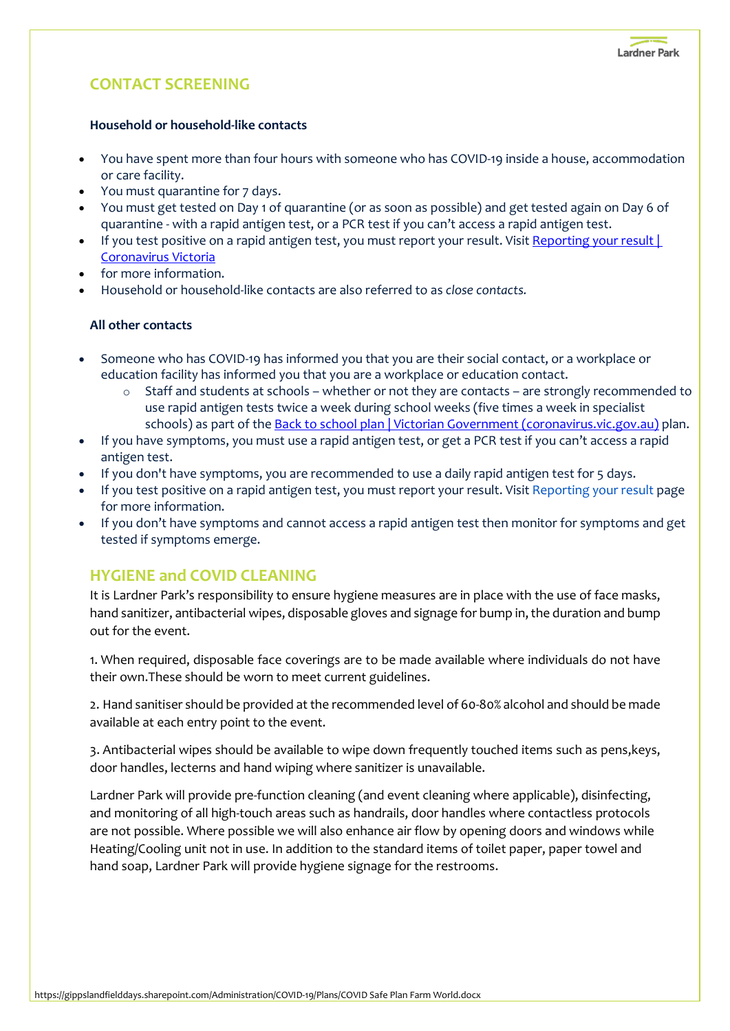## **CONTACT SCREENING**

#### **Household or household-like contacts**

- You have spent more than four hours with someone who has COVID-19 inside a house, accommodation or care facility.
- You must quarantine for 7 days.
- You must get tested on Day 1 of quarantine (or as soon as possible) and get tested again on Day 6 of quarantine - with a rapid antigen test, or a PCR test if you can't access a rapid antigen test.
- If you test positive on a rapid antigen test, you must report your result. Visit Reporting your result [Coronavirus Victoria](https://www.coronavirus.vic.gov.au/report)
- for more information.
- Household or household-like contacts are also referred to as *close contacts.*

#### **All other contacts**

- Someone who has COVID-19 has informed you that you are their social contact, or a workplace or education facility has informed you that you are a workplace or education contact.
	- o Staff and students at schools whether or not they are contacts are strongly recommended to use rapid antigen tests twice a week during school weeks (five times a week in specialist schools) as part of the **Back to school plan** | Victorian Government (coronavirus.vic.gov.au) plan.
- If you have symptoms, you must use a rapid antigen test, or get a PCR test if you can't access a rapid antigen test.
- If you don't have symptoms, you are recommended to use a daily rapid antigen test for 5 days.
- If you test positive on a rapid antigen test, you must report your result. Visit [Reporting your result](https://www.coronavirus.vic.gov.au/report) page for more information.
- If you don't have symptoms and cannot access a rapid antigen test then monitor for symptoms and get tested if symptoms emerge.

### **HYGIENE and COVID CLEANING**

It is Lardner Park's responsibility to ensure hygiene measures are in place with the use of face masks, hand sanitizer, antibacterial wipes, disposable gloves and signage for bump in, the duration and bump out for the event.

1. When required, disposable face coverings are to be made available where individuals do not have their own.These should be worn to meet current guidelines.

2. Hand sanitiser should be provided at the recommended level of 60-80% alcohol and should be made available at each entry point to the event.

3. Antibacterial wipes should be available to wipe down frequently touched items such as pens,keys, door handles, lecterns and hand wiping where sanitizer is unavailable.

Lardner Park will provide pre-function cleaning (and event cleaning where applicable), disinfecting, and monitoring of all high-touch areas such as handrails, door handles where contactless protocols are not possible. Where possible we will also enhance air flow by opening doors and windows while Heating/Cooling unit not in use. In addition to the standard items of toilet paper, paper towel and hand soap, Lardner Park will provide hygiene signage for the restrooms.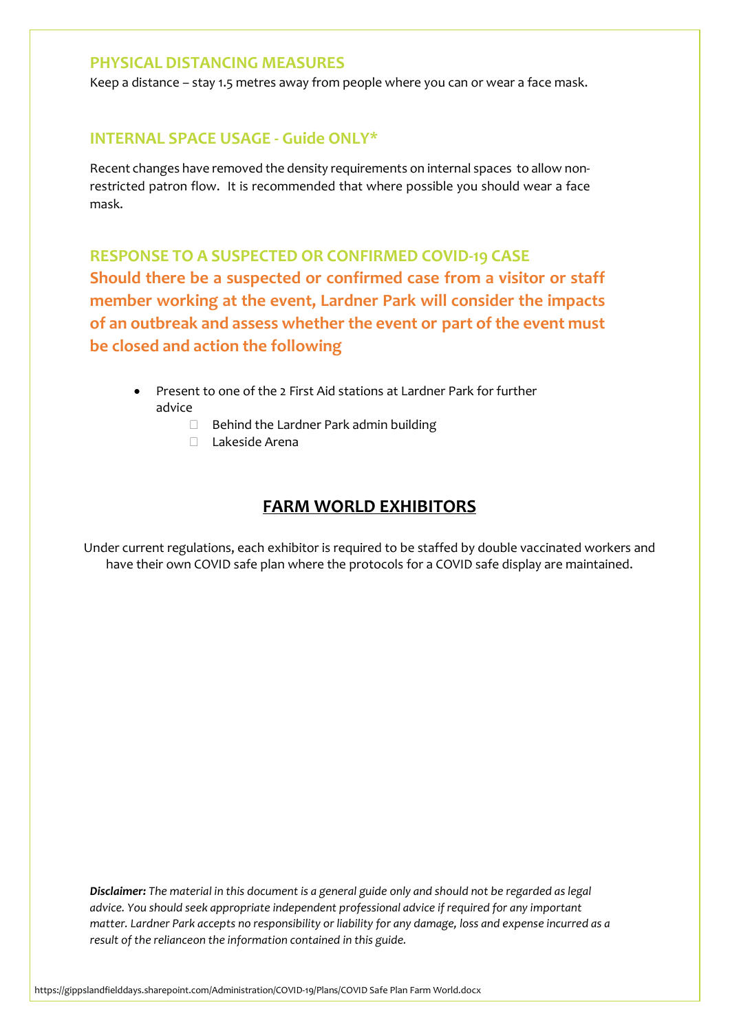#### **PHYSICAL DISTANCING MEASURES**

Keep a distance – stay 1.5 metres away from people where you can or wear a face mask.

#### **INTERNAL SPACE USAGE - Guide ONLY\***

Recent changes have removed the density requirements on internal spaces to allow nonrestricted patron flow. It is recommended that where possible you should wear a face mask.

**RESPONSE TO A SUSPECTED OR CONFIRMED COVID-19 CASE Should there be a suspected or confirmed case from a visitor or staff member working at the event, Lardner Park will consider the impacts of an outbreak and assess whether the event or part of the event must be closed and action the following**

- Present to one of the 2 First Aid stations at Lardner Park for further advice
	- $\Box$  Behind the Lardner Park admin building
	- Lakeside Arena

#### **FARM WORLD EXHIBITORS**

Under current regulations, each exhibitor is required to be staffed by double vaccinated workers and have their own COVID safe plan where the protocols for a COVID safe display are maintained.

*Disclaimer: The material in this document is a general guide only and should not be regarded as legal advice. You should seek appropriate independent professional advice if required for any important matter. Lardner Park accepts no responsibility or liability for any damage, loss and expense incurred as a result of the relianceon the information contained in this guide.*